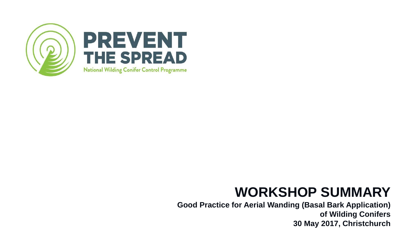

### **WORKSHOP SUMMARY**

**Good Practice for Aerial Wanding (Basal Bark Application) of Wilding Conifers 30 May 2017, Christchurch**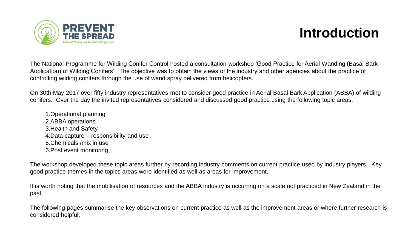

### **Introduction**

The National Programme for Wilding Conifer Control hosted a consultation workshop 'Good Practice for Aerial Wanding (Basal Bark Aoplication) of Wilding Conifers'. The objective was to obtain the views of the industry and other agencies about the practice of controlling wilding conifers through the use of wand spray delivered from helicopters.

On 30th May 2017 over fifty industry representatives met to consider good practice in Aerial Basal Bark Application (ABBA) of wilding conifers. Over the day the invited representatives considered and discussed good practice using the following topic areas.

1.Operational planning 2.ABBA operations 3.Health and Safety 4.Data capture – responsibility and use 5.Chemicals /mix in use 6.Post event monitoring

The workshop developed these topic areas further by recording industry comments on current practice used by industry players. Key good practice themes in the topics areas were identified as well as areas for improvement.

It is worth noting that the mobilisation of resources and the ABBA industry is occurring on a scale not practiced in New Zealand in the past.

The following pages summarise the key observations on current practice as well as the improvement areas or where further research is considered helpful.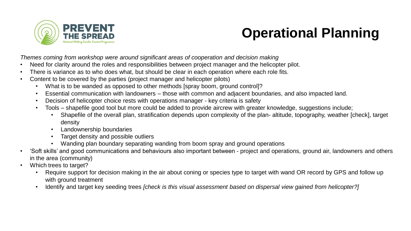

## **Operational Planning**

*Themes coming from workshop were around significant areas of cooperation and decision making*

- Need for clarity around the roles and responsibilities between project manager and the helicopter pilot.
- There is variance as to who does what, but should be clear in each operation where each role fits.
- Content to be covered by the parties (project manager and helicopter pilots)
	- What is to be wanded as opposed to other methods [spray boom, ground control]?
	- Essential communication with landowners those with common and adjacent boundaries, and also impacted land.
	- Decision of helicopter choice rests with operations manager key criteria is safety
	- Tools shapefile good tool but more could be added to provide aircrew with greater knowledge, suggestions include;
		- Shapefile of the overall plan, stratification depends upon complexity of the plan- altitude, topography, weather [check], target density
		- Landownership boundaries
		- Target density and possible outliers
		- Wanding plan boundary separating wanding from boom spray and ground operations
- 'Soft skills' and good communications and behaviours also important between project and operations, ground air, landowners and others in the area (community)
- Which trees to target?
	- Require support for decision making in the air about coning or species type to target with wand OR record by GPS and follow up with ground treatment
	- Identify and target key seeding trees *[check is this visual assessment based on dispersal view gained from helicopter?]*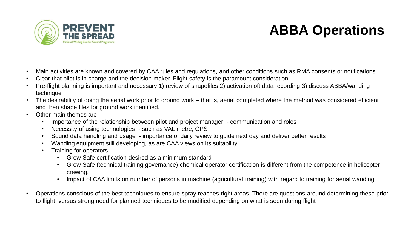

## **ABBA Operations**

- Main activities are known and covered by CAA rules and regulations, and other conditions such as RMA consents or notifications
- Clear that pilot is in charge and the decision maker. Flight safety is the paramount consideration.
- Pre-flight planning is important and necessary 1) review of shapefiles 2) activation oft data recording 3) discuss ABBA/wanding technique
- The desirability of doing the aerial work prior to ground work that is, aerial completed where the method was considered efficient and then shape files for ground work identified.
- Other main themes are
	- Importance of the relationship between pilot and project manager communication and roles
	- Necessity of using technologies such as VAL metre; GPS
	- Sound data handling and usage importance of daily review to guide next day and deliver better results
	- Wanding equipment still developing, as are CAA views on its suitability
	- Training for operators
		- Grow Safe certification desired as a minimum standard
		- Grow Safe (technical training governance) chemical operator certification is different from the competence in helicopter crewing.
		- Impact of CAA limits on number of persons in machine (agricultural training) with regard to training for aerial wanding
- Operations conscious of the best techniques to ensure spray reaches right areas. There are questions around determining these prior to flight, versus strong need for planned techniques to be modified depending on what is seen during flight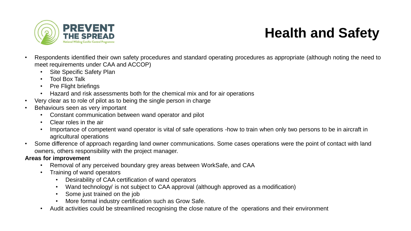

# **Health and Safety**

- Respondents identified their own safety procedures and standard operating procedures as appropriate (although noting the need to meet requirements under CAA and ACCOP)
	- Site Specific Safety Plan
	- Tool Box Talk
	- Pre Flight briefings
	- Hazard and risk assessments both for the chemical mix and for air operations
- Very clear as to role of pilot as to being the single person in charge
- Behaviours seen as very important
	- Constant communication between wand operator and pilot
	- Clear roles in the air
	- Importance of competent wand operator is vital of safe operations -how to train when only two persons to be in aircraft in agricultural operations
- Some difference of approach regarding land owner communications. Some cases operations were the point of contact with land owners, others responsibility with the project manager.

### **Areas for improvement**

- Removal of any perceived boundary grey areas between WorkSafe, and CAA
- Training of wand operators
	- Desirability of CAA certification of wand operators
	- Wand technology/ is not subject to CAA approval (although approved as a modification)
	- Some just trained on the job
	- More formal industry certification such as Grow Safe.
- Audit activities could be streamlined recognising the close nature of the operations and their environment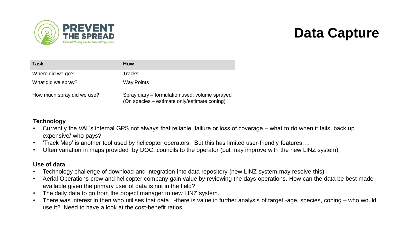

### **Data Capture**

| <b>Task</b>                | <b>How</b>                                                                                     |
|----------------------------|------------------------------------------------------------------------------------------------|
| Where did we go?           | <b>Tracks</b>                                                                                  |
| What did we spray?         | <b>Way Points</b>                                                                              |
| How much spray did we use? | Spray diary – formulation used, volume sprayed<br>(On species – estimate only/estimate coning) |

#### **Technology**

- Currently the VAL's internal GPS not always that reliable, failure or loss of coverage what to do when it fails, back up expensive/ who pays?
- 'Track Map' is another tool used by helicopter operators. But this has limited user-friendly features….
- Often variation in maps provided by DOC, councils to the operator (but may improve with the new LINZ system)

#### **Use of data**

- Technology challenge of download and integration into data repository (new LINZ system may resolve this)
- Aerial Operations crew and helicopter company gain value by reviewing the days operations. How can the data be best made available given the primary user of data is not in the field?
- The daily data to go from the project manager to new LINZ system.
- There was interest in then who utilises that data -there is value in further analysis of target -age, species, coning who would use it? Need to have a look at the cost-benefit ratios.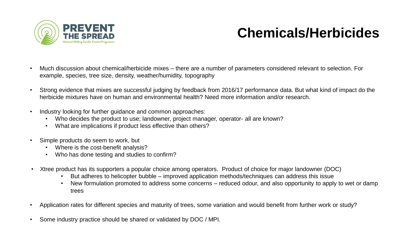

## **Chemicals/Herbicides**

- Much discussion about chemical/herbicide mixes there are a number of parameters considered relevant to selection. For example, species, tree size, density, weather/humidity, topography
- Strong evidence that mixes are successful judging by feedback from 2016/17 performance data. But what kind of impact do the herbicide mixtures have on human and environmental health? Need more information and/or research.
- Industry looking for further guidance and common approaches:
	- Who decides the product to use; landowner, project manager, operator- all are known?
	- What are implications if product less effective than others?
- Simple products do seem to work, but
	- Where is the cost-benefit analysis?
	- Who has done testing and studies to confirm?
- Xtree product has its supporters a popular choice among operators. Product of choice for major landowner (DOC)
	- But adheres to helicopter bubble improved application methods/techniques can address this issue
	- New formulation promoted to address some concerns reduced odour, and also opportunity to apply to wet or damp trees
- Application rates for different species and maturity of trees, some variation and would benefit from further work or study?
- Some industry practice should be shared or validated by DOC / MPI.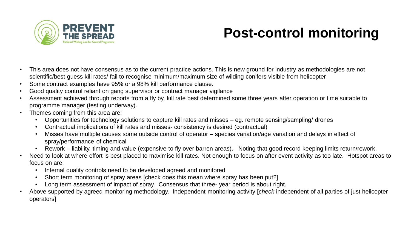

## **Post-control monitoring**

- This area does not have consensus as to the current practice actions. This is new ground for industry as methodologies are not scientific/best guess kill rates/ fail to recognise minimum/maximum size of wilding conifers visible from helicopter
- Some contract examples have 95% or a 98% kill performance clause.
- Good quality control reliant on gang supervisor or contract manager vigilance
- Assessment achieved through reports from a fly by, kill rate best determined some three years after operation or time suitable to programme manager (testing underway).
- Themes coming from this area are:
	- Opportunities for technology solutions to capture kill rates and misses eg. remote sensing/sampling/ drones
	- Contractual implications of kill rates and misses- consistency is desired (contractual)
	- Misses have multiple causes some outside control of operator species variation/age variation and delays in effect of spray/performance of chemical
	- Rework liability, timing and value (expensive to fly over barren areas). Noting that good record keeping limits return/rework.
- Need to look at where effort is best placed to maximise kill rates. Not enough to focus on after event activity as too late. Hotspot areas to focus on are:
	- Internal quality controls need to be developed agreed and monitored
	- Short term monitoring of spray areas [check does this mean where spray has been put?]
	- Long term assessment of impact of spray. Consensus that three- year period is about right.
- Above supported by agreed monitoring methodology. Independent monitoring activity [*check* independent of all parties of just helicopter operators]